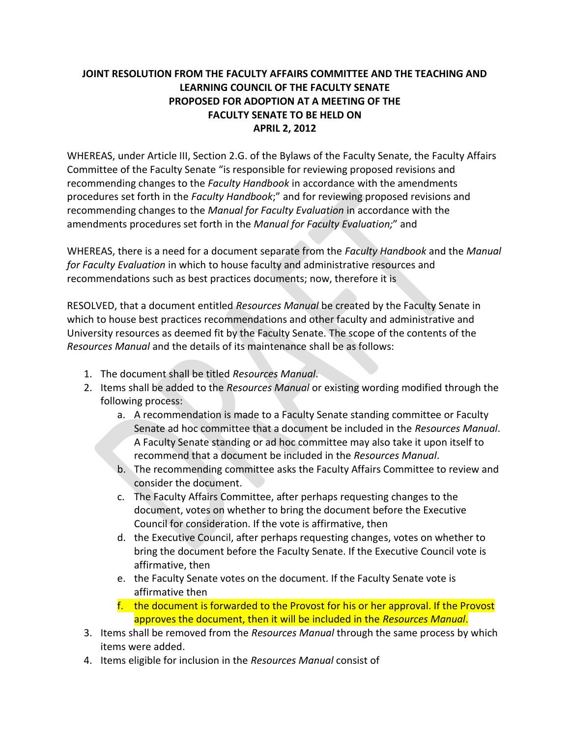## **JOINT RESOLUTION FROM THE FACULTY AFFAIRS COMMITTEE AND THE TEACHING AND LEARNING COUNCIL OF THE FACULTY SENATE PROPOSED FOR ADOPTION AT A MEETING OF THE FACULTY SENATE TO BE HELD ON APRIL 2, 2012**

WHEREAS, under Article III, Section 2.G. of the Bylaws of the Faculty Senate, the Faculty Affairs Committee of the Faculty Senate "is responsible for reviewing proposed revisions and recommending changes to the *Faculty Handbook* in accordance with the amendments procedures set forth in the *Faculty Handbook*;" and for reviewing proposed revisions and recommending changes to the *Manual for Faculty Evaluation* in accordance with the amendments procedures set forth in the *Manual for Faculty Evaluation;*" and

WHEREAS, there is a need for a document separate from the *Faculty Handbook* and the *Manual for Faculty Evaluation* in which to house faculty and administrative resources and recommendations such as best practices documents; now, therefore it is

RESOLVED, that a document entitled *Resources Manual* be created by the Faculty Senate in which to house best practices recommendations and other faculty and administrative and University resources as deemed fit by the Faculty Senate. The scope of the contents of the *Resources Manual* and the details of its maintenance shall be as follows:

- 1. The document shall be titled *Resources Manual*.
- 2. Items shall be added to the *Resources Manual* or existing wording modified through the following process:
	- a. A recommendation is made to a Faculty Senate standing committee or Faculty Senate ad hoc committee that a document be included in the *Resources Manual*. A Faculty Senate standing or ad hoc committee may also take it upon itself to recommend that a document be included in the *Resources Manual*.
	- b. The recommending committee asks the Faculty Affairs Committee to review and consider the document.
	- c. The Faculty Affairs Committee, after perhaps requesting changes to the document, votes on whether to bring the document before the Executive Council for consideration. If the vote is affirmative, then
	- d. the Executive Council, after perhaps requesting changes, votes on whether to bring the document before the Faculty Senate. If the Executive Council vote is affirmative, then
	- e. the Faculty Senate votes on the document. If the Faculty Senate vote is affirmative then
	- f. the document is forwarded to the Provost for his or her approval. If the Provost approves the document, then it will be included in the *Resources Manual*.
- 3. Items shall be removed from the *Resources Manual* through the same process by which items were added.
- 4. Items eligible for inclusion in the *Resources Manual* consist of